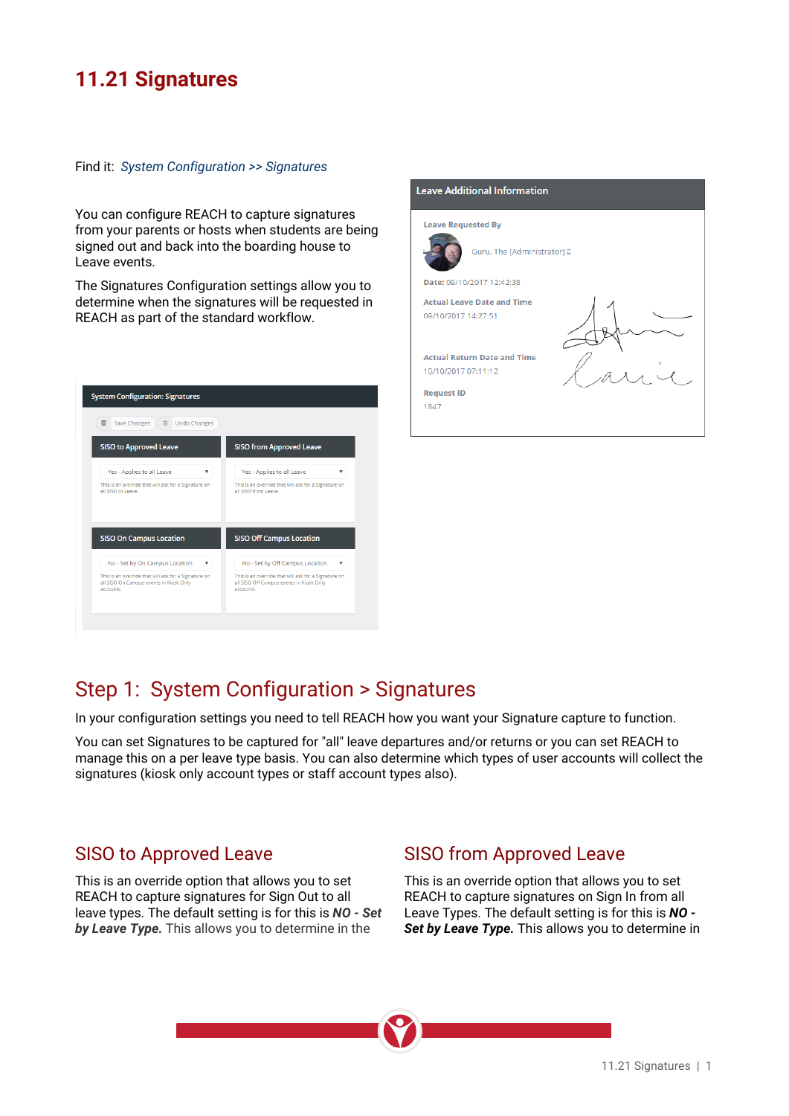## **11.21 Signatures**

#### Find it: *System Configuration >> Signatures*

You can configure REACH to capture signatures from your parents or hosts when students are being signed out and back into the boarding house to **the contract of the Communistrator of** Leave events.

The Signatures Configuration settings allow you to **Fig. 12.42.38** determine when the signatures will be requested in  $DEACH$  as part of the standard workflow REACH as part of the standard workflow.

| 言<br>Save Changes<br><b>Undo Changes</b><br>尙        |                                                      |
|------------------------------------------------------|------------------------------------------------------|
| <b>SISO to Approved Leave</b>                        | <b>SISO from Approved Leave</b>                      |
| Yes - Applies to all Leave                           | Yes - Applies to all Leave                           |
| v                                                    | v                                                    |
| This is an override that will ask for a Signature on | This is an override that will ask for a Signature on |
| all SISO to Leave.                                   | all SISO from Leave                                  |
| <b>SISO On Campus Location</b>                       | <b>SISO Off Campus Location</b>                      |
| No - Set by On Campus Location                       | No - Set by Off Campus Location                      |
| v                                                    | v                                                    |
| This is an override that will ask for a Signature on | This is an override that will ask for a Signature on |
| all SISO On Campus events in Kiosk Only              | all SISO Off Campus events in Kiosk Only             |
| accounts.                                            | accounts.                                            |



## Step 1: System Configuration > Signatures

In your configuration settings you need to tell REACH how you want your Signature capture to function.

You can set Signatures to be captured for "all" leave departures and/or returns or you can set REACH to manage this on a per leave type basis. You can also determine which types of user accounts will collect the signatures (kiosk only account types or staff account types also).

#### SISO to Approved Leave

This is an override option that allows you to set REACH to capture signatures for Sign Out to all leave types. The default setting is for this is *NO - Set by Leave Type.* This allows you to determine in the

### SISO from Approved Leave

This is an override option that allows you to set REACH to capture signatures on Sign In from all Leave Types. The default setting is for this is *NO - Set by Leave Type.* This allows you to determine in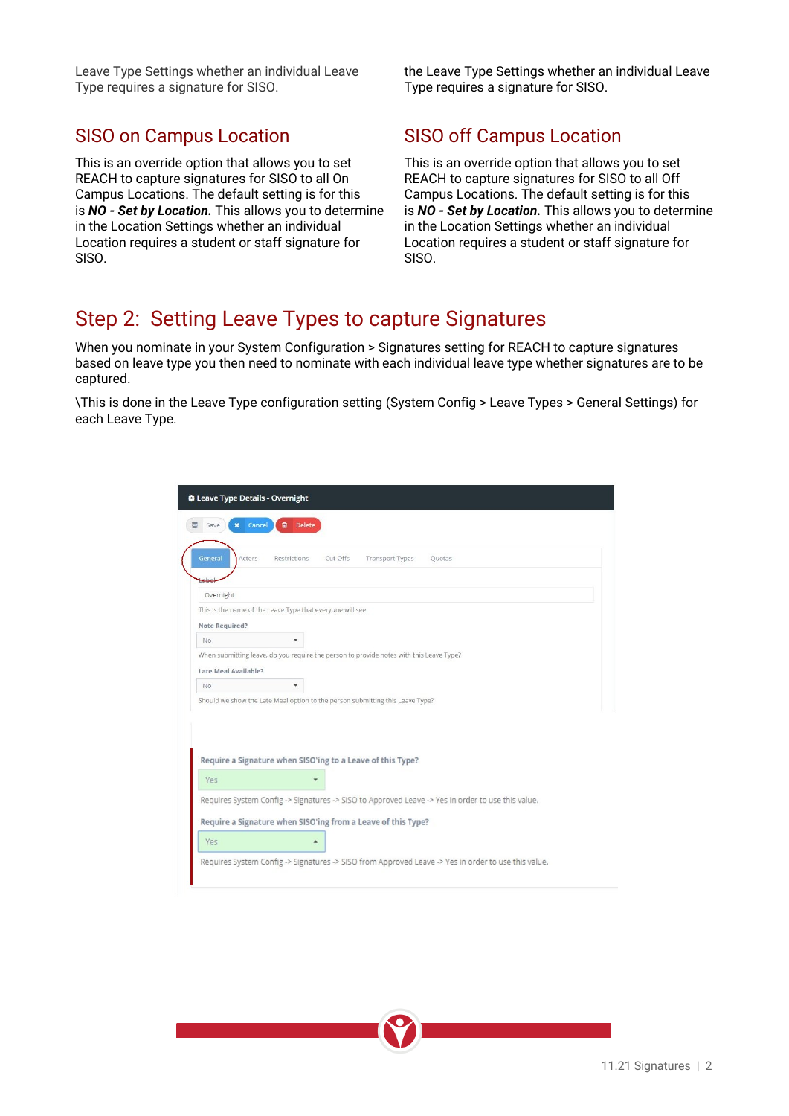Leave Type Settings whether an individual Leave Type requires a signature for SISO.

This is an override option that allows you to set REACH to capture signatures for SISO to all On Campus Locations. The default setting is for this is *NO - Set by Location.* This allows you to determine in the Location Settings whether an individual Location requires a student or staff signature for SISO.

the Leave Type Settings whether an individual Leave Type requires a signature for SISO.

## SISO on Campus Location SISO off Campus Location

This is an override option that allows you to set REACH to capture signatures for SISO to all Off Campus Locations. The default setting is for this is *NO - Set by Location.* This allows you to determine in the Location Settings whether an individual Location requires a student or staff signature for SISO.

## Step 2: Setting Leave Types to capture Signatures

When you nominate in your System Configuration > Signatures setting for REACH to capture signatures based on leave type you then need to nominate with each individual leave type whether signatures are to be captured.

\This is done in the Leave Type configuration setting (System Config > Leave Types > General Settings) for each Leave Type.

| <b>Delete</b><br>龠<br>Cancel<br>Save<br>General<br>Actors<br>Cut Offs<br>Restrictions<br>Transport Types<br>Quotas<br>Overnight<br>This is the name of the Leave Type that everyone will see<br>Note Required?<br><b>No</b><br>When submitting leave, do you require the person to provide notes with this Leave Type?<br>Late Meal Available?<br><b>No</b><br>Should we show the Late Meal option to the person submitting this Leave Type?<br>Require a Signature when SISO'ing to a Leave of this Type?<br>Yes<br>Requires System Config -> Signatures -> SISO to Approved Leave -> Yes in order to use this value.<br>Require a Signature when SISO'ing from a Leave of this Type?<br>Yes<br>Requires System Config -> Signatures -> SISO from Approved Leave -> Yes in order to use this value. | <b><math>\clubsuit</math> Leave Type Details - Overnight</b> |  |
|------------------------------------------------------------------------------------------------------------------------------------------------------------------------------------------------------------------------------------------------------------------------------------------------------------------------------------------------------------------------------------------------------------------------------------------------------------------------------------------------------------------------------------------------------------------------------------------------------------------------------------------------------------------------------------------------------------------------------------------------------------------------------------------------------|--------------------------------------------------------------|--|
|                                                                                                                                                                                                                                                                                                                                                                                                                                                                                                                                                                                                                                                                                                                                                                                                      |                                                              |  |
|                                                                                                                                                                                                                                                                                                                                                                                                                                                                                                                                                                                                                                                                                                                                                                                                      |                                                              |  |
|                                                                                                                                                                                                                                                                                                                                                                                                                                                                                                                                                                                                                                                                                                                                                                                                      |                                                              |  |
|                                                                                                                                                                                                                                                                                                                                                                                                                                                                                                                                                                                                                                                                                                                                                                                                      |                                                              |  |
|                                                                                                                                                                                                                                                                                                                                                                                                                                                                                                                                                                                                                                                                                                                                                                                                      |                                                              |  |
|                                                                                                                                                                                                                                                                                                                                                                                                                                                                                                                                                                                                                                                                                                                                                                                                      |                                                              |  |
|                                                                                                                                                                                                                                                                                                                                                                                                                                                                                                                                                                                                                                                                                                                                                                                                      |                                                              |  |
|                                                                                                                                                                                                                                                                                                                                                                                                                                                                                                                                                                                                                                                                                                                                                                                                      |                                                              |  |
|                                                                                                                                                                                                                                                                                                                                                                                                                                                                                                                                                                                                                                                                                                                                                                                                      |                                                              |  |
|                                                                                                                                                                                                                                                                                                                                                                                                                                                                                                                                                                                                                                                                                                                                                                                                      |                                                              |  |
|                                                                                                                                                                                                                                                                                                                                                                                                                                                                                                                                                                                                                                                                                                                                                                                                      |                                                              |  |
|                                                                                                                                                                                                                                                                                                                                                                                                                                                                                                                                                                                                                                                                                                                                                                                                      |                                                              |  |
|                                                                                                                                                                                                                                                                                                                                                                                                                                                                                                                                                                                                                                                                                                                                                                                                      |                                                              |  |
|                                                                                                                                                                                                                                                                                                                                                                                                                                                                                                                                                                                                                                                                                                                                                                                                      |                                                              |  |
|                                                                                                                                                                                                                                                                                                                                                                                                                                                                                                                                                                                                                                                                                                                                                                                                      |                                                              |  |
|                                                                                                                                                                                                                                                                                                                                                                                                                                                                                                                                                                                                                                                                                                                                                                                                      |                                                              |  |
|                                                                                                                                                                                                                                                                                                                                                                                                                                                                                                                                                                                                                                                                                                                                                                                                      |                                                              |  |